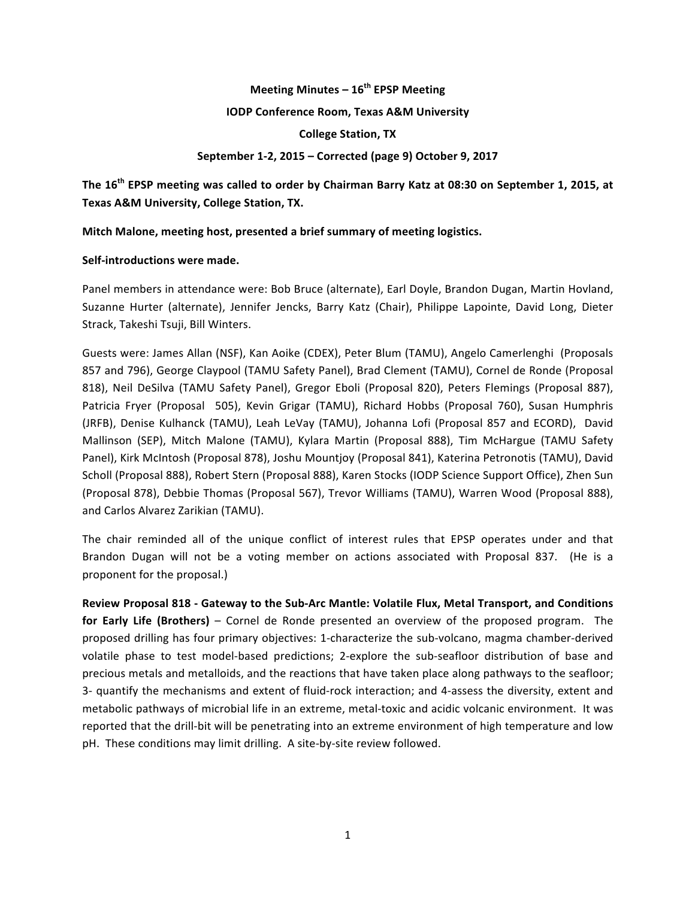# **Meeting Minutes – 16th EPSP Meeting IODP Conference Room, Texas A&M University College Station, TX September 1-2, 2015 – Corrected (page 9) October 9, 2017**

The 16<sup>th</sup> EPSP meeting was called to order by Chairman Barry Katz at 08:30 on September 1, 2015, at **Texas A&M University, College Station, TX.** 

**Mitch Malone, meeting host, presented a brief summary of meeting logistics.** 

### **Self-introductions were made.**

Panel members in attendance were: Bob Bruce (alternate), Earl Doyle, Brandon Dugan, Martin Hovland, Suzanne Hurter (alternate), Jennifer Jencks, Barry Katz (Chair), Philippe Lapointe, David Long, Dieter Strack, Takeshi Tsuji, Bill Winters.

Guests were: James Allan (NSF), Kan Aoike (CDEX), Peter Blum (TAMU), Angelo Camerlenghi (Proposals 857 and 796), George Claypool (TAMU Safety Panel), Brad Clement (TAMU), Cornel de Ronde (Proposal 818), Neil DeSilva (TAMU Safety Panel), Gregor Eboli (Proposal 820), Peters Flemings (Proposal 887), Patricia Fryer (Proposal 505), Kevin Grigar (TAMU), Richard Hobbs (Proposal 760), Susan Humphris (JRFB), Denise Kulhanck (TAMU), Leah LeVay (TAMU), Johanna Lofi (Proposal 857 and ECORD), David Mallinson (SEP), Mitch Malone (TAMU), Kylara Martin (Proposal 888), Tim McHargue (TAMU Safety Panel), Kirk McIntosh (Proposal 878), Joshu Mountjoy (Proposal 841), Katerina Petronotis (TAMU), David Scholl (Proposal 888), Robert Stern (Proposal 888), Karen Stocks (IODP Science Support Office), Zhen Sun (Proposal 878), Debbie Thomas (Proposal 567), Trevor Williams (TAMU), Warren Wood (Proposal 888), and Carlos Alvarez Zarikian (TAMU).

The chair reminded all of the unique conflict of interest rules that EPSP operates under and that Brandon Dugan will not be a voting member on actions associated with Proposal 837. (He is a proponent for the proposal.)

Review Proposal 818 - Gateway to the Sub-Arc Mantle: Volatile Flux, Metal Transport, and Conditions **for Early Life (Brothers)** – Cornel de Ronde presented an overview of the proposed program. The proposed drilling has four primary objectives: 1-characterize the sub-volcano, magma chamber-derived volatile phase to test model-based predictions; 2-explore the sub-seafloor distribution of base and precious metals and metalloids, and the reactions that have taken place along pathways to the seafloor; 3- quantify the mechanisms and extent of fluid-rock interaction; and 4-assess the diversity, extent and metabolic pathways of microbial life in an extreme, metal-toxic and acidic volcanic environment. It was reported that the drill-bit will be penetrating into an extreme environment of high temperature and low pH. These conditions may limit drilling. A site-by-site review followed.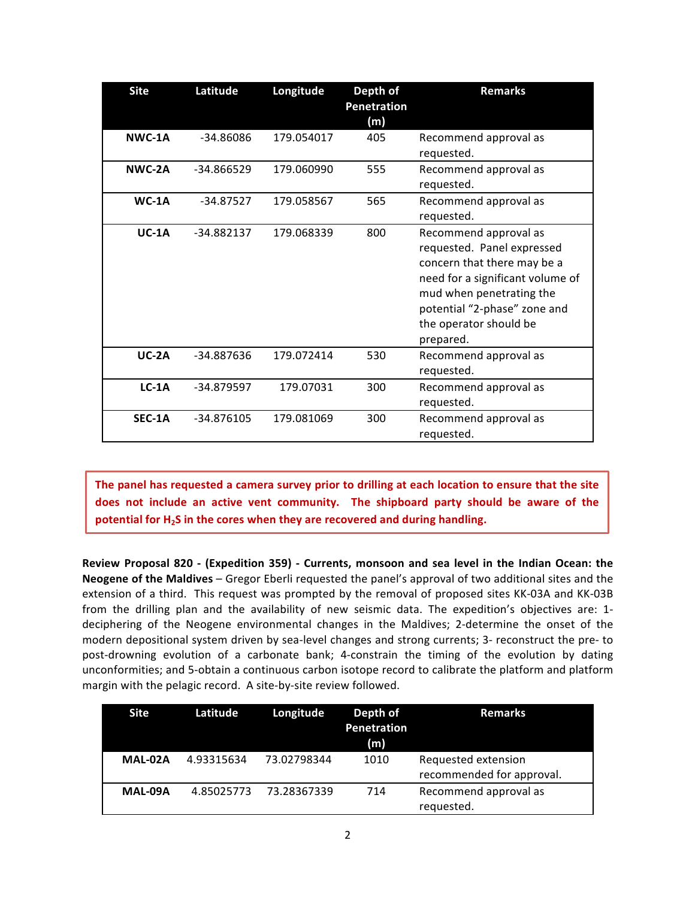| <b>Site</b> | Latitude    | Longitude  | Depth of<br>Penetration<br>(m) | <b>Remarks</b>                                                                                                                                                                                                            |
|-------------|-------------|------------|--------------------------------|---------------------------------------------------------------------------------------------------------------------------------------------------------------------------------------------------------------------------|
| NWC-1A      | -34.86086   | 179.054017 | 405                            | Recommend approval as<br>requested.                                                                                                                                                                                       |
| NWC-2A      | -34.866529  | 179.060990 | 555                            | Recommend approval as<br>requested.                                                                                                                                                                                       |
| $WC-1A$     | $-34.87527$ | 179.058567 | 565                            | Recommend approval as<br>requested.                                                                                                                                                                                       |
| $UC-1A$     | -34.882137  | 179.068339 | 800                            | Recommend approval as<br>requested. Panel expressed<br>concern that there may be a<br>need for a significant volume of<br>mud when penetrating the<br>potential "2-phase" zone and<br>the operator should be<br>prepared. |
| $UC-2A$     | -34.887636  | 179.072414 | 530                            | Recommend approval as<br>requested.                                                                                                                                                                                       |
| $LC-1A$     | -34.879597  | 179.07031  | 300                            | Recommend approval as<br>requested.                                                                                                                                                                                       |
| SEC-1A      | -34.876105  | 179.081069 | 300                            | Recommend approval as<br>requested.                                                                                                                                                                                       |

The panel has requested a camera survey prior to drilling at each location to ensure that the site does not include an active vent community. The shipboard party should be aware of the potential for H<sub>2</sub>S in the cores when they are recovered and during handling.

**Review Proposal 820 - (Expedition 359) - Currents, monsoon and sea level in the Indian Ocean: the Neogene of the Maldives** – Gregor Eberli requested the panel's approval of two additional sites and the extension of a third. This request was prompted by the removal of proposed sites KK-03A and KK-03B from the drilling plan and the availability of new seismic data. The expedition's objectives are: 1deciphering of the Neogene environmental changes in the Maldives; 2-determine the onset of the modern depositional system driven by sea-level changes and strong currents; 3- reconstruct the pre- to post-drowning evolution of a carbonate bank; 4-constrain the timing of the evolution by dating unconformities; and 5-obtain a continuous carbon isotope record to calibrate the platform and platform margin with the pelagic record. A site-by-site review followed.

| <b>Site</b> | Latitude   | Longitude   | Depth of<br><b>Penetration</b><br>(m) | <b>Remarks</b>            |
|-------------|------------|-------------|---------------------------------------|---------------------------|
| MAL-02A     | 4.93315634 | 73.02798344 | 1010                                  | Requested extension       |
|             |            |             |                                       | recommended for approval. |
| MAL-09A     | 4.85025773 | 73.28367339 | 714                                   | Recommend approval as     |
|             |            |             |                                       | requested.                |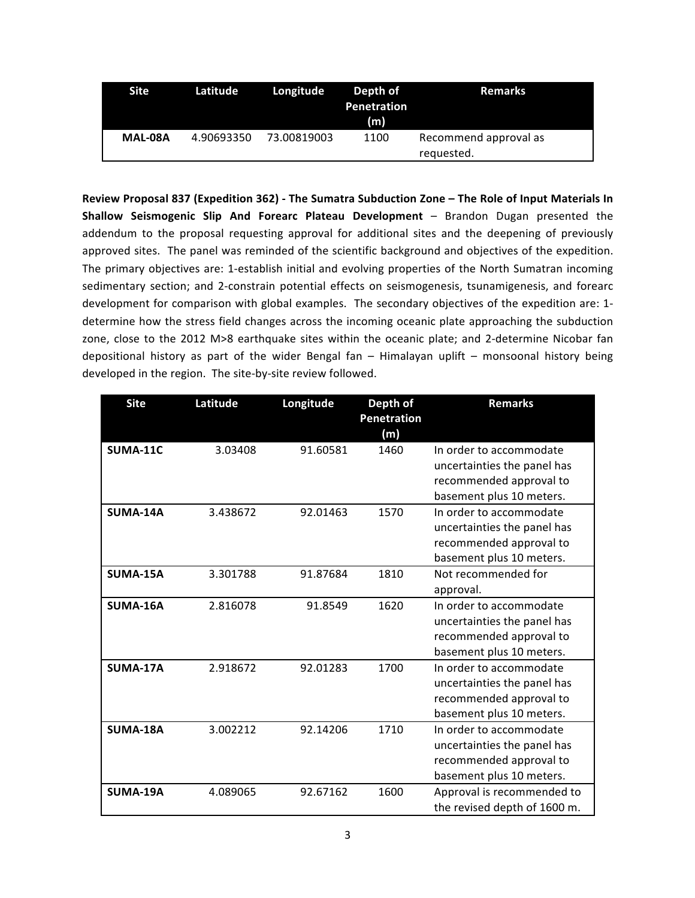| <b>Site</b> | Latitude   | Longitude   | Depth of<br><b>Penetration</b><br>(m) | Remarks                             |
|-------------|------------|-------------|---------------------------------------|-------------------------------------|
| MAL-08A     | 4.90693350 | 73.00819003 | 1100                                  | Recommend approval as<br>requested. |

Review Proposal 837 (Expedition 362) - The Sumatra Subduction Zone - The Role of Input Materials In **Shallow Seismogenic Slip And Forearc Plateau Development** – Brandon Dugan presented the addendum to the proposal requesting approval for additional sites and the deepening of previously approved sites. The panel was reminded of the scientific background and objectives of the expedition. The primary objectives are: 1-establish initial and evolving properties of the North Sumatran incoming sedimentary section; and 2-constrain potential effects on seismogenesis, tsunamigenesis, and forearc development for comparison with global examples. The secondary objectives of the expedition are: 1determine how the stress field changes across the incoming oceanic plate approaching the subduction zone, close to the 2012 M>8 earthquake sites within the oceanic plate; and 2-determine Nicobar fan depositional history as part of the wider Bengal fan – Himalayan uplift – monsoonal history being developed in the region. The site-by-site review followed.

| <b>Site</b>     | Latitude | Longitude | Depth of<br><b>Penetration</b><br>(m) | <b>Remarks</b>                                                                                                |
|-----------------|----------|-----------|---------------------------------------|---------------------------------------------------------------------------------------------------------------|
| <b>SUMA-11C</b> | 3.03408  | 91.60581  | 1460                                  | In order to accommodate<br>uncertainties the panel has<br>recommended approval to<br>basement plus 10 meters. |
| SUMA-14A        | 3.438672 | 92.01463  | 1570                                  | In order to accommodate<br>uncertainties the panel has<br>recommended approval to<br>basement plus 10 meters. |
| <b>SUMA-15A</b> | 3.301788 | 91.87684  | 1810                                  | Not recommended for<br>approval.                                                                              |
| SUMA-16A        | 2.816078 | 91.8549   | 1620                                  | In order to accommodate<br>uncertainties the panel has<br>recommended approval to<br>basement plus 10 meters. |
| SUMA-17A        | 2.918672 | 92.01283  | 1700                                  | In order to accommodate<br>uncertainties the panel has<br>recommended approval to<br>basement plus 10 meters. |
| SUMA-18A        | 3.002212 | 92.14206  | 1710                                  | In order to accommodate<br>uncertainties the panel has<br>recommended approval to<br>basement plus 10 meters. |
| SUMA-19A        | 4.089065 | 92.67162  | 1600                                  | Approval is recommended to<br>the revised depth of 1600 m.                                                    |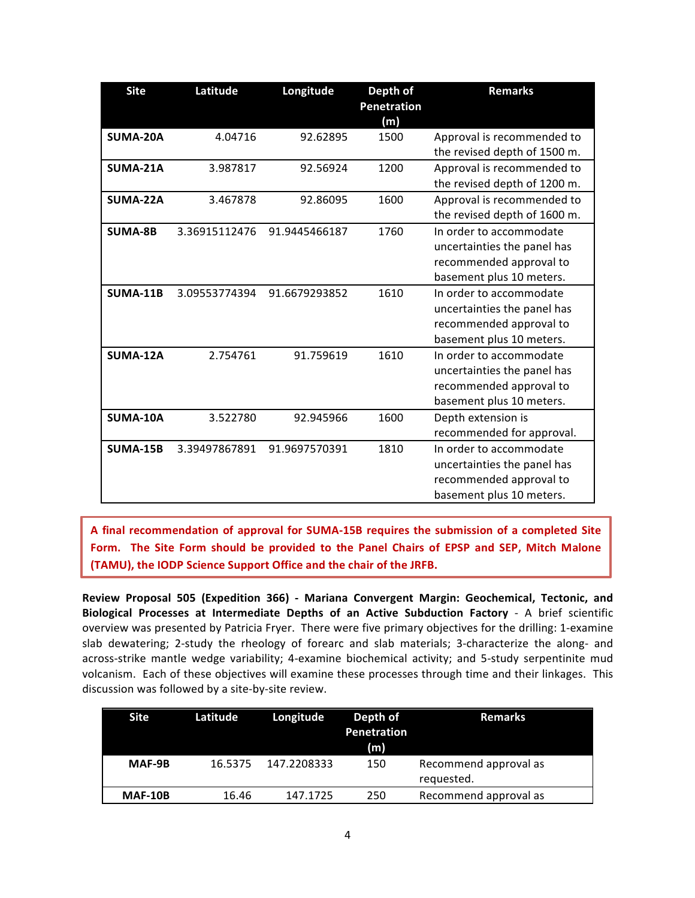| <b>Site</b>     | Latitude      | Longitude     | Depth of<br><b>Penetration</b><br>(m) | <b>Remarks</b>               |
|-----------------|---------------|---------------|---------------------------------------|------------------------------|
| SUMA-20A        | 4.04716       | 92.62895      | 1500                                  | Approval is recommended to   |
|                 |               |               |                                       | the revised depth of 1500 m. |
| SUMA-21A        | 3.987817      | 92.56924      | 1200                                  | Approval is recommended to   |
|                 |               |               |                                       | the revised depth of 1200 m. |
| SUMA-22A        | 3.467878      | 92.86095      | 1600                                  | Approval is recommended to   |
|                 |               |               |                                       | the revised depth of 1600 m. |
| <b>SUMA-8B</b>  | 3.36915112476 | 91.9445466187 | 1760                                  | In order to accommodate      |
|                 |               |               |                                       | uncertainties the panel has  |
|                 |               |               |                                       | recommended approval to      |
|                 |               |               |                                       | basement plus 10 meters.     |
| <b>SUMA-11B</b> | 3.09553774394 | 91.6679293852 | 1610                                  | In order to accommodate      |
|                 |               |               |                                       | uncertainties the panel has  |
|                 |               |               |                                       | recommended approval to      |
|                 |               |               |                                       | basement plus 10 meters.     |
| SUMA-12A        | 2.754761      | 91.759619     | 1610                                  | In order to accommodate      |
|                 |               |               |                                       | uncertainties the panel has  |
|                 |               |               |                                       | recommended approval to      |
|                 |               |               |                                       | basement plus 10 meters.     |
| SUMA-10A        | 3.522780      | 92.945966     | 1600                                  | Depth extension is           |
|                 |               |               |                                       | recommended for approval.    |
| <b>SUMA-15B</b> | 3.39497867891 | 91.9697570391 | 1810                                  | In order to accommodate      |
|                 |               |               |                                       | uncertainties the panel has  |
|                 |               |               |                                       | recommended approval to      |
|                 |               |               |                                       | basement plus 10 meters.     |

A final recommendation of approval for SUMA-15B requires the submission of a completed Site Form. The Site Form should be provided to the Panel Chairs of EPSP and SEP, Mitch Malone **(TAMU), the IODP Science Support Office and the chair of the JRFB.** 

**Review Proposal 505 (Expedition 366) - Mariana Convergent Margin: Geochemical, Tectonic, and Biological Processes at Intermediate Depths of an Active Subduction Factory** - A brief scientific overview was presented by Patricia Fryer. There were five primary objectives for the drilling: 1-examine slab dewatering; 2-study the rheology of forearc and slab materials; 3-characterize the along- and across-strike mantle wedge variability; 4-examine biochemical activity; and 5-study serpentinite mud volcanism. Each of these objectives will examine these processes through time and their linkages. This discussion was followed by a site-by-site review.

| <b>Site</b>    | <b>Latitude</b> | Longitude   | Depth of<br>Penetration<br>(m) | <b>Remarks</b>                      |
|----------------|-----------------|-------------|--------------------------------|-------------------------------------|
| MAF-9B         | 16.5375         | 147.2208333 | 150                            | Recommend approval as<br>requested. |
| <b>MAF-10B</b> | 16.46           | 147.1725    | 250                            | Recommend approval as               |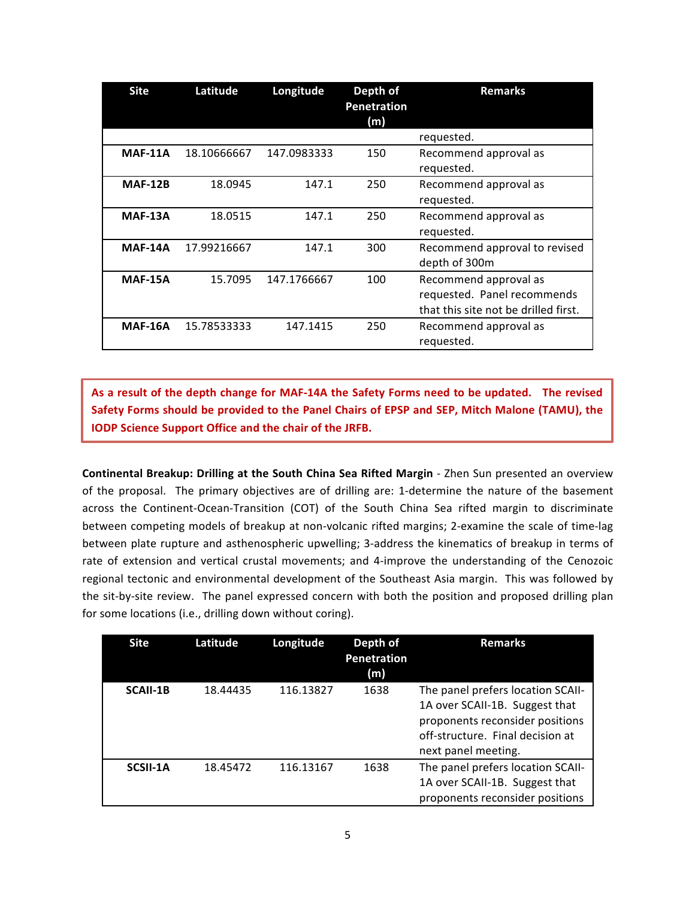| <b>Site</b>    | Latitude    | Longitude   | Depth of<br>Penetration<br>(m) | <b>Remarks</b>                                                                               |
|----------------|-------------|-------------|--------------------------------|----------------------------------------------------------------------------------------------|
|                |             |             |                                | requested.                                                                                   |
| <b>MAF-11A</b> | 18.10666667 | 147.0983333 | 150                            | Recommend approval as<br>requested.                                                          |
| <b>MAF-12B</b> | 18.0945     | 147.1       | 250                            | Recommend approval as<br>requested.                                                          |
| <b>MAF-13A</b> | 18.0515     | 147.1       | 250                            | Recommend approval as<br>requested.                                                          |
| <b>MAF-14A</b> | 17.99216667 | 147.1       | 300                            | Recommend approval to revised<br>depth of 300m                                               |
| <b>MAF-15A</b> | 15.7095     | 147.1766667 | 100                            | Recommend approval as<br>requested. Panel recommends<br>that this site not be drilled first. |
| <b>MAF-16A</b> | 15.78533333 | 147.1415    | 250                            | Recommend approval as<br>requested.                                                          |

As a result of the depth change for MAF-14A the Safety Forms need to be updated. The revised Safety Forms should be provided to the Panel Chairs of EPSP and SEP, Mitch Malone (TAMU), the **IODP Science Support Office and the chair of the JRFB.** 

**Continental Breakup: Drilling at the South China Sea Rifted Margin - Zhen Sun presented an overview** of the proposal. The primary objectives are of drilling are: 1-determine the nature of the basement across the Continent-Ocean-Transition (COT) of the South China Sea rifted margin to discriminate between competing models of breakup at non-volcanic rifted margins; 2-examine the scale of time-lag between plate rupture and asthenospheric upwelling; 3-address the kinematics of breakup in terms of rate of extension and vertical crustal movements; and 4-improve the understanding of the Cenozoic regional tectonic and environmental development of the Southeast Asia margin. This was followed by the sit-by-site review. The panel expressed concern with both the position and proposed drilling plan for some locations (i.e., drilling down without coring).

| <b>Site</b>     | Latitude | Longitude | Depth of<br><b>Penetration</b><br>(m) | <b>Remarks</b>                                                                                                                                                    |
|-----------------|----------|-----------|---------------------------------------|-------------------------------------------------------------------------------------------------------------------------------------------------------------------|
| <b>SCAII-1B</b> | 18.44435 | 116.13827 | 1638                                  | The panel prefers location SCAII-<br>1A over SCAII-1B. Suggest that<br>proponents reconsider positions<br>off-structure. Final decision at<br>next panel meeting. |
| SCSII-1A        | 18.45472 | 116.13167 | 1638                                  | The panel prefers location SCAII-<br>1A over SCAII-1B. Suggest that<br>proponents reconsider positions                                                            |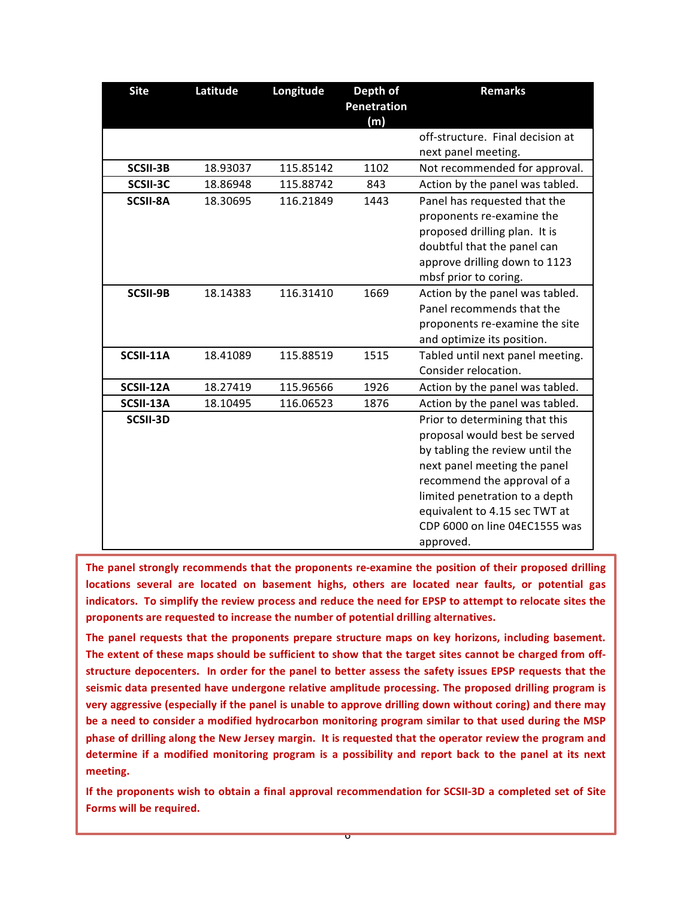| <b>Site</b>     | Latitude | Longitude | Depth of<br><b>Penetration</b><br>(m) | <b>Remarks</b>                                                                                                                                                                                                                                                                     |
|-----------------|----------|-----------|---------------------------------------|------------------------------------------------------------------------------------------------------------------------------------------------------------------------------------------------------------------------------------------------------------------------------------|
|                 |          |           |                                       | off-structure. Final decision at                                                                                                                                                                                                                                                   |
|                 |          |           |                                       | next panel meeting.                                                                                                                                                                                                                                                                |
| SCSII-3B        | 18.93037 | 115.85142 | 1102                                  | Not recommended for approval.                                                                                                                                                                                                                                                      |
| SCSII-3C        | 18.86948 | 115.88742 | 843                                   | Action by the panel was tabled.                                                                                                                                                                                                                                                    |
| <b>SCSII-8A</b> | 18.30695 | 116.21849 | 1443                                  | Panel has requested that the<br>proponents re-examine the<br>proposed drilling plan. It is<br>doubtful that the panel can<br>approve drilling down to 1123<br>mbsf prior to coring.                                                                                                |
| SCSII-9B        | 18.14383 | 116.31410 | 1669                                  | Action by the panel was tabled.<br>Panel recommends that the<br>proponents re-examine the site<br>and optimize its position.                                                                                                                                                       |
| SCSII-11A       | 18.41089 | 115.88519 | 1515                                  | Tabled until next panel meeting.<br>Consider relocation.                                                                                                                                                                                                                           |
| SCSII-12A       | 18.27419 | 115.96566 | 1926                                  | Action by the panel was tabled.                                                                                                                                                                                                                                                    |
| SCSII-13A       | 18.10495 | 116.06523 | 1876                                  | Action by the panel was tabled.                                                                                                                                                                                                                                                    |
| SCSII-3D        |          |           |                                       | Prior to determining that this<br>proposal would best be served<br>by tabling the review until the<br>next panel meeting the panel<br>recommend the approval of a<br>limited penetration to a depth<br>equivalent to 4.15 sec TWT at<br>CDP 6000 on line 04EC1555 was<br>approved. |

The panel strongly recommends that the proponents re-examine the position of their proposed drilling locations several are located on basement highs, others are located near faults, or potential gas indicators. To simplify the review process and reduce the need for EPSP to attempt to relocate sites the proponents are requested to increase the number of potential drilling alternatives.

The panel requests that the proponents prepare structure maps on key horizons, including basement. The extent of these maps should be sufficient to show that the target sites cannot be charged from offstructure depocenters. In order for the panel to better assess the safety issues EPSP requests that the seismic data presented have undergone relative amplitude processing. The proposed drilling program is very aggressive (especially if the panel is unable to approve drilling down without coring) and there may be a need to consider a modified hydrocarbon monitoring program similar to that used during the MSP phase of drilling along the New Jersey margin. It is requested that the operator review the program and determine if a modified monitoring program is a possibility and report back to the panel at its next meeting.

If the proponents wish to obtain a final approval recommendation for SCSII-3D a completed set of Site **Forms** will be required.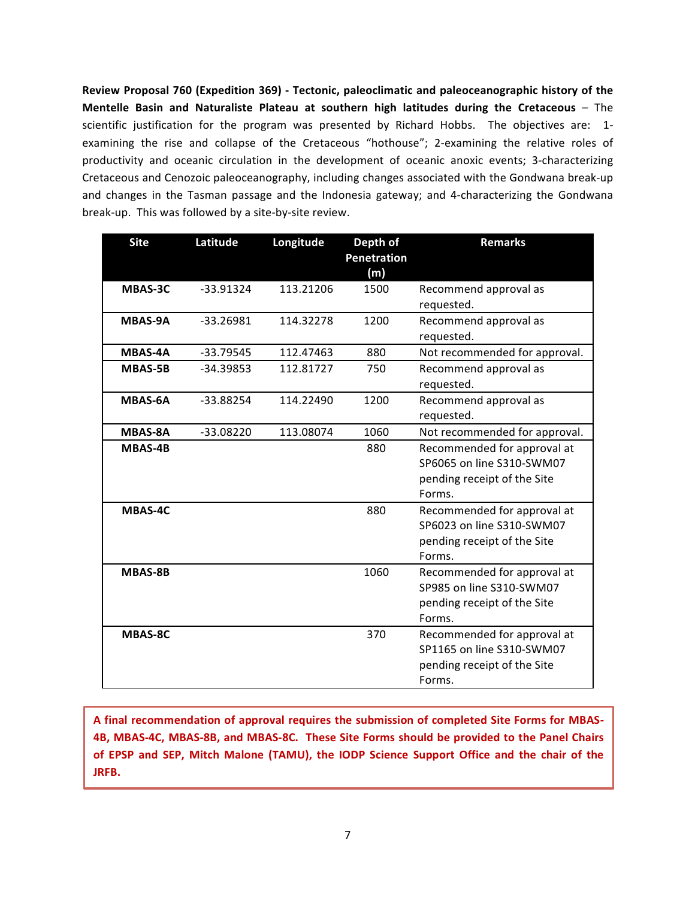Review Proposal 760 (Expedition 369) - Tectonic, paleoclimatic and paleoceanographic history of the **Mentelle Basin and Naturaliste Plateau at southern high latitudes during the Cretaceous** – The scientific justification for the program was presented by Richard Hobbs. The objectives are: 1examining the rise and collapse of the Cretaceous "hothouse"; 2-examining the relative roles of productivity and oceanic circulation in the development of oceanic anoxic events; 3-characterizing Cretaceous and Cenozoic paleoceanography, including changes associated with the Gondwana break-up and changes in the Tasman passage and the Indonesia gateway; and 4-characterizing the Gondwana break-up. This was followed by a site-by-site review.

| <b>Site</b>    | Latitude    | Longitude | Depth of<br><b>Penetration</b><br>(m) | <b>Remarks</b>                                                                                    |
|----------------|-------------|-----------|---------------------------------------|---------------------------------------------------------------------------------------------------|
| MBAS-3C        | $-33.91324$ | 113.21206 | 1500                                  | Recommend approval as<br>requested.                                                               |
| <b>MBAS-9A</b> | $-33.26981$ | 114.32278 | 1200                                  | Recommend approval as<br>requested.                                                               |
| <b>MBAS-4A</b> | $-33.79545$ | 112.47463 | 880                                   | Not recommended for approval.                                                                     |
| <b>MBAS-5B</b> | $-34.39853$ | 112.81727 | 750                                   | Recommend approval as<br>requested.                                                               |
| <b>MBAS-6A</b> | $-33.88254$ | 114.22490 | 1200                                  | Recommend approval as<br>requested.                                                               |
| <b>MBAS-8A</b> | $-33.08220$ | 113.08074 | 1060                                  | Not recommended for approval.                                                                     |
| <b>MBAS-4B</b> |             |           | 880                                   | Recommended for approval at<br>SP6065 on line S310-SWM07<br>pending receipt of the Site<br>Forms. |
| MBAS-4C        |             |           | 880                                   | Recommended for approval at<br>SP6023 on line S310-SWM07<br>pending receipt of the Site<br>Forms. |
| <b>MBAS-8B</b> |             |           | 1060                                  | Recommended for approval at<br>SP985 on line S310-SWM07<br>pending receipt of the Site<br>Forms.  |
| <b>MBAS-8C</b> |             |           | 370                                   | Recommended for approval at<br>SP1165 on line S310-SWM07<br>pending receipt of the Site<br>Forms. |

A final recommendation of approval requires the submission of completed Site Forms for MBAS-4B, MBAS-4C, MBAS-8B, and MBAS-8C. These Site Forms should be provided to the Panel Chairs of EPSP and SEP, Mitch Malone (TAMU), the IODP Science Support Office and the chair of the **JRFB.**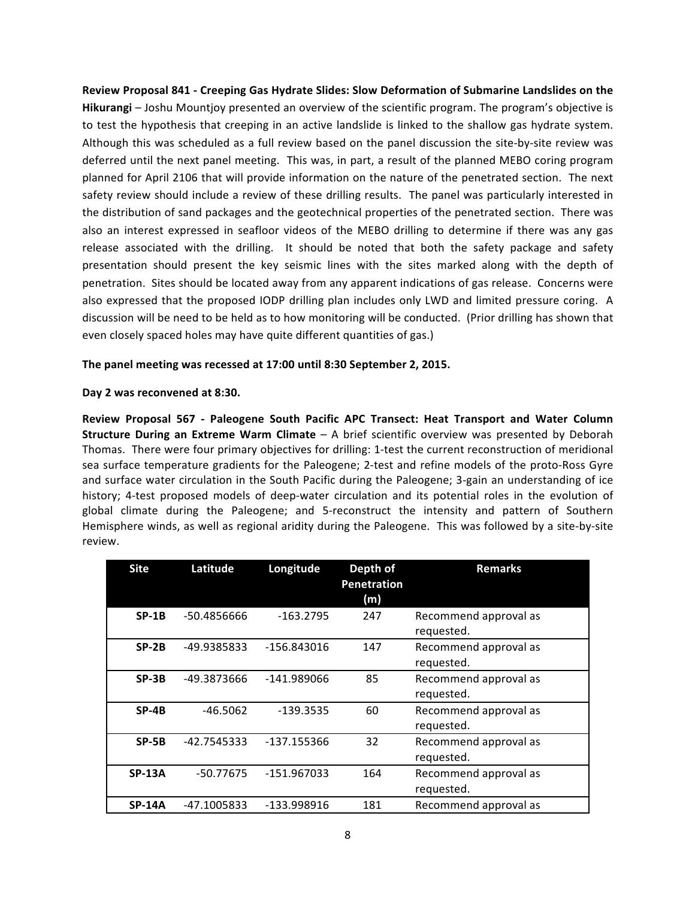Review Proposal 841 - Creeping Gas Hydrate Slides: Slow Deformation of Submarine Landslides on the **Hikurangi** – Joshu Mountjoy presented an overview of the scientific program. The program's objective is to test the hypothesis that creeping in an active landslide is linked to the shallow gas hydrate system. Although this was scheduled as a full review based on the panel discussion the site-by-site review was deferred until the next panel meeting. This was, in part, a result of the planned MEBO coring program planned for April 2106 that will provide information on the nature of the penetrated section. The next safety review should include a review of these drilling results. The panel was particularly interested in the distribution of sand packages and the geotechnical properties of the penetrated section. There was also an interest expressed in seafloor videos of the MEBO drilling to determine if there was any gas release associated with the drilling. It should be noted that both the safety package and safety presentation should present the key seismic lines with the sites marked along with the depth of penetration. Sites should be located away from any apparent indications of gas release. Concerns were also expressed that the proposed IODP drilling plan includes only LWD and limited pressure coring. A discussion will be need to be held as to how monitoring will be conducted. (Prior drilling has shown that even closely spaced holes may have quite different quantities of gas.)

#### The panel meeting was recessed at 17:00 until 8:30 September 2, 2015.

#### **Day 2 was reconvened at 8:30.**

**Review Proposal 567 - Paleogene South Pacific APC Transect: Heat Transport and Water Column Structure During an Extreme Warm Climate** – A brief scientific overview was presented by Deborah Thomas. There were four primary objectives for drilling: 1-test the current reconstruction of meridional sea surface temperature gradients for the Paleogene; 2-test and refine models of the proto-Ross Gyre and surface water circulation in the South Pacific during the Paleogene; 3-gain an understanding of ice history; 4-test proposed models of deep-water circulation and its potential roles in the evolution of global climate during the Paleogene; and 5-reconstruct the intensity and pattern of Southern Hemisphere winds, as well as regional aridity during the Paleogene. This was followed by a site-by-site review. 

| <b>Site</b>   | Latitude    | Longitude   | Depth of<br><b>Penetration</b><br>(m) | <b>Remarks</b>                      |
|---------------|-------------|-------------|---------------------------------------|-------------------------------------|
| $SP-1B$       | -50.4856666 | $-163.2795$ | 247                                   | Recommend approval as<br>requested. |
| $SP-2B$       | -49.9385833 | -156.843016 | 147                                   | Recommend approval as<br>requested. |
| $SP-3B$       | -49.3873666 | -141.989066 | 85                                    | Recommend approval as<br>requested. |
| $SP-4B$       | $-46.5062$  | $-139.3535$ | 60                                    | Recommend approval as<br>requested. |
| $SP-5B$       | -42.7545333 | -137.155366 | 32                                    | Recommend approval as<br>requested. |
| <b>SP-13A</b> | -50.77675   | -151.967033 | 164                                   | Recommend approval as<br>requested. |
| <b>SP-14A</b> | -47.1005833 | -133.998916 | 181                                   | Recommend approval as               |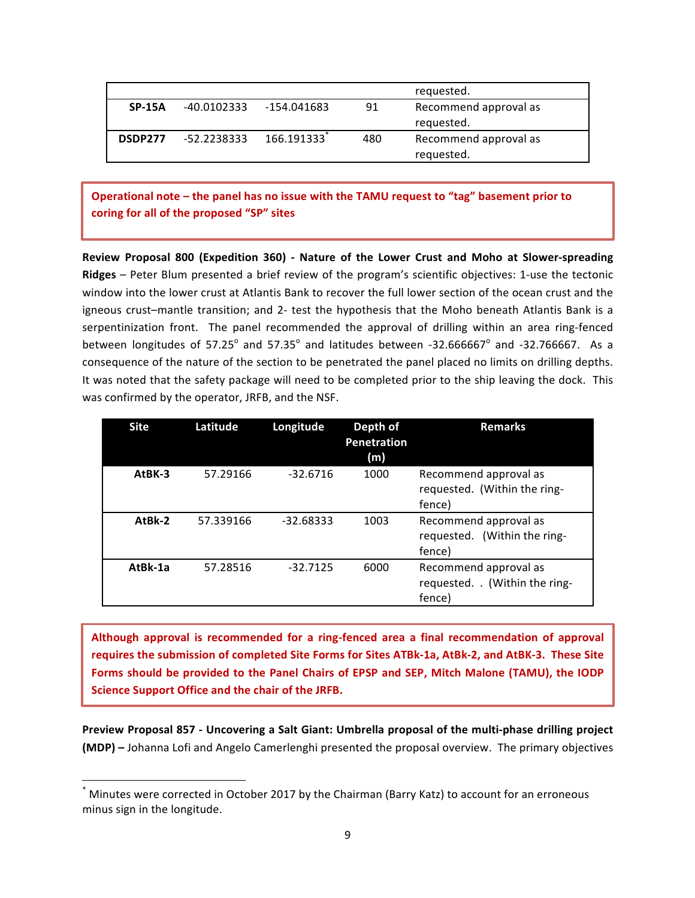|          |             |             |     | requested.                          |
|----------|-------------|-------------|-----|-------------------------------------|
| $SP-15A$ | -40.0102333 | -154.041683 | 91  | Recommend approval as<br>requested. |
| DSDP277  | -52.2238333 | 166.191333  | 480 | Recommend approval as<br>requested. |

## Operational note – the panel has no issue with the TAMU request to "tag" basement prior to coring for all of the proposed "SP" sites

.

**Review Proposal 800 (Expedition 360)** - Nature of the Lower Crust and Moho at Slower-spreading **Ridges** – Peter Blum presented a brief review of the program's scientific objectives: 1-use the tectonic window into the lower crust at Atlantis Bank to recover the full lower section of the ocean crust and the igneous crust-mantle transition; and 2- test the hypothesis that the Moho beneath Atlantis Bank is a serpentinization front. The panel recommended the approval of drilling within an area ring-fenced between longitudes of 57.25 $^{\circ}$  and 57.35 $^{\circ}$  and latitudes between -32.666667 $^{\circ}$  and -32.766667. As a consequence of the nature of the section to be penetrated the panel placed no limits on drilling depths. It was noted that the safety package will need to be completed prior to the ship leaving the dock. This was confirmed by the operator, JRFB, and the NSF.

| <b>Site</b> | Latitude  | Longitude   | Depth of<br>Penetration<br>(m) | Remarks                                                           |
|-------------|-----------|-------------|--------------------------------|-------------------------------------------------------------------|
| AtBK-3      | 57.29166  | $-32.6716$  | 1000                           | Recommend approval as<br>requested. (Within the ring-<br>fence)   |
| AtBk-2      | 57.339166 | $-32.68333$ | 1003                           | Recommend approval as<br>requested. (Within the ring-<br>fence)   |
| AtBk-1a     | 57.28516  | $-32.7125$  | 6000                           | Recommend approval as<br>requested. . (Within the ring-<br>fence) |

Although approval is recommended for a ring-fenced area a final recommendation of approval requires the submission of completed Site Forms for Sites ATBk-1a, AtBk-2, and AtBK-3. These Site Forms should be provided to the Panel Chairs of EPSP and SEP, Mitch Malone (TAMU), the IODP **Science Support Office and the chair of the JRFB.** 

Preview Proposal 857 - Uncovering a Salt Giant: Umbrella proposal of the multi-phase drilling project **(MDP)** – Johanna Lofi and Angelo Camerlenghi presented the proposal overview. The primary objectives

<u> 1989 - Johann Stein, markin film yn y breninn y breninn y breninn y breninn y breninn y breninn y breninn y b</u>

Minutes were corrected in October 2017 by the Chairman (Barry Katz) to account for an erroneous minus sign in the longitude.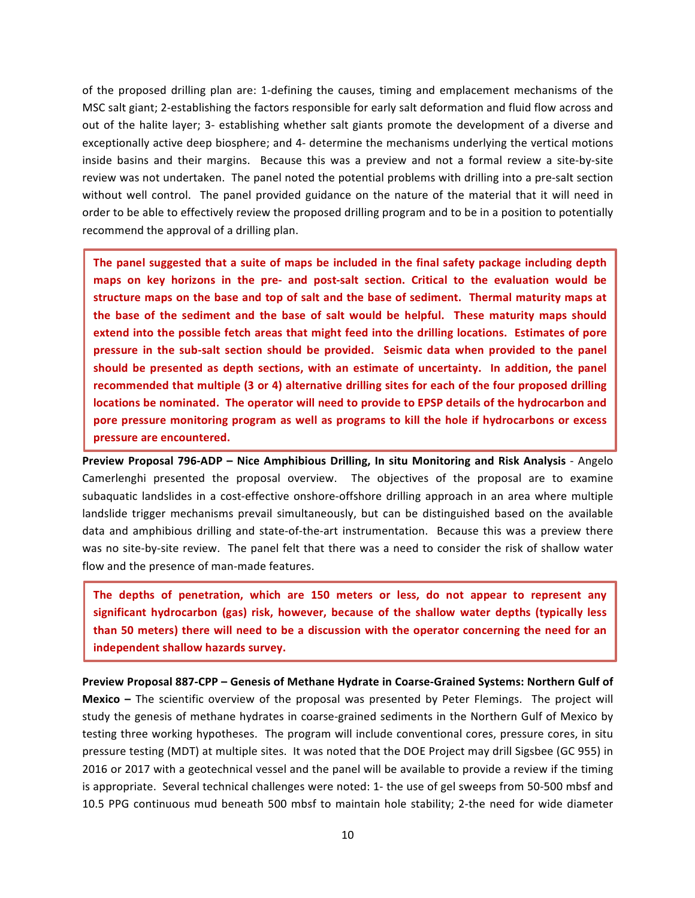of the proposed drilling plan are: 1-defining the causes, timing and emplacement mechanisms of the MSC salt giant; 2-establishing the factors responsible for early salt deformation and fluid flow across and out of the halite layer; 3- establishing whether salt giants promote the development of a diverse and exceptionally active deep biosphere; and 4- determine the mechanisms underlying the vertical motions inside basins and their margins. Because this was a preview and not a formal review a site-by-site review was not undertaken. The panel noted the potential problems with drilling into a pre-salt section without well control. The panel provided guidance on the nature of the material that it will need in order to be able to effectively review the proposed drilling program and to be in a position to potentially recommend the approval of a drilling plan.

The panel suggested that a suite of maps be included in the final safety package including depth **maps on key horizons in the pre- and post-salt section. Critical to the evaluation would be** structure maps on the base and top of salt and the base of sediment. Thermal maturity maps at the base of the sediment and the base of salt would be helpful. These maturity maps should extend into the possible fetch areas that might feed into the drilling locations. Estimates of pore pressure in the sub-salt section should be provided. Seismic data when provided to the panel should be presented as depth sections, with an estimate of uncertainty. In addition, the panel recommended that multiple (3 or 4) alternative drilling sites for each of the four proposed drilling **locations** be nominated. The operator will need to provide to EPSP details of the hydrocarbon and pore pressure monitoring program as well as programs to kill the hole if hydrocarbons or excess **pressure are encountered.** 

**Preview Proposal 796-ADP - Nice Amphibious Drilling, In situ Monitoring and Risk Analysis - Angelo** Camerlenghi presented the proposal overview. The objectives of the proposal are to examine subaquatic landslides in a cost-effective onshore-offshore drilling approach in an area where multiple landslide trigger mechanisms prevail simultaneously, but can be distinguished based on the available data and amphibious drilling and state-of-the-art instrumentation. Because this was a preview there was no site-by-site review. The panel felt that there was a need to consider the risk of shallow water flow and the presence of man-made features.

The depths of penetration, which are 150 meters or less, do not appear to represent any significant hydrocarbon (gas) risk, however, because of the shallow water depths (typically less than 50 meters) there will need to be a discussion with the operator concerning the need for an independent shallow hazards survey.

Preview Proposal 887-CPP – Genesis of Methane Hydrate in Coarse-Grained Systems: Northern Gulf of **Mexico** – The scientific overview of the proposal was presented by Peter Flemings. The project will study the genesis of methane hydrates in coarse-grained sediments in the Northern Gulf of Mexico by testing three working hypotheses. The program will include conventional cores, pressure cores, in situ pressure testing (MDT) at multiple sites. It was noted that the DOE Project may drill Sigsbee (GC 955) in 2016 or 2017 with a geotechnical vessel and the panel will be available to provide a review if the timing is appropriate. Several technical challenges were noted: 1- the use of gel sweeps from 50-500 mbsf and 10.5 PPG continuous mud beneath 500 mbsf to maintain hole stability; 2-the need for wide diameter